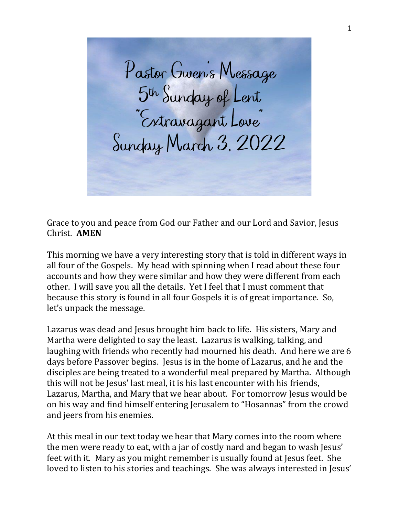Pastor Gwen's Message<br>5<sup>th</sup> Sunday of Lent<br>"Extravagant Love" Sunday March 3, 2022

Grace to you and peace from God our Father and our Lord and Savior, Jesus Christ. **AMEN**

This morning we have a very interesting story that is told in different ways in all four of the Gospels. My head with spinning when I read about these four accounts and how they were similar and how they were different from each other. I will save you all the details. Yet I feel that I must comment that because this story is found in all four Gospels it is of great importance. So, let's unpack the message.

Lazarus was dead and Jesus brought him back to life. His sisters, Mary and Martha were delighted to say the least. Lazarus is walking, talking, and laughing with friends who recently had mourned his death. And here we are 6 days before Passover begins. Jesus is in the home of Lazarus, and he and the disciples are being treated to a wonderful meal prepared by Martha. Although this will not be Jesus' last meal, it is his last encounter with his friends, Lazarus, Martha, and Mary that we hear about. For tomorrow Jesus would be on his way and find himself entering Jerusalem to "Hosannas" from the crowd and jeers from his enemies.

At this meal in our text today we hear that Mary comes into the room where the men were ready to eat, with a jar of costly nard and began to wash Jesus' feet with it. Mary as you might remember is usually found at Jesus feet. She loved to listen to his stories and teachings. She was always interested in Jesus'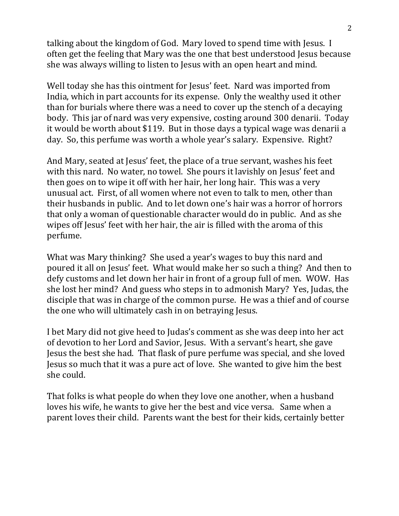talking about the kingdom of God. Mary loved to spend time with Jesus. I often get the feeling that Mary was the one that best understood Jesus because she was always willing to listen to Jesus with an open heart and mind.

Well today she has this ointment for Jesus' feet. Nard was imported from India, which in part accounts for its expense. Only the wealthy used it other than for burials where there was a need to cover up the stench of a decaying body. This jar of nard was very expensive, costing around 300 denarii. Today it would be worth about \$119. But in those days a typical wage was denarii a day. So, this perfume was worth a whole year's salary. Expensive. Right?

And Mary, seated at Jesus' feet, the place of a true servant, washes his feet with this nard. No water, no towel. She pours it lavishly on Jesus' feet and then goes on to wipe it off with her hair, her long hair. This was a very unusual act. First, of all women where not even to talk to men, other than their husbands in public. And to let down one's hair was a horror of horrors that only a woman of questionable character would do in public. And as she wipes off Jesus' feet with her hair, the air is filled with the aroma of this perfume.

What was Mary thinking? She used a year's wages to buy this nard and poured it all on Jesus' feet. What would make her so such a thing? And then to defy customs and let down her hair in front of a group full of men. WOW. Has she lost her mind? And guess who steps in to admonish Mary? Yes, Judas, the disciple that was in charge of the common purse. He was a thief and of course the one who will ultimately cash in on betraying Jesus.

I bet Mary did not give heed to Judas's comment as she was deep into her act of devotion to her Lord and Savior, Jesus. With a servant's heart, she gave Jesus the best she had. That flask of pure perfume was special, and she loved Jesus so much that it was a pure act of love. She wanted to give him the best she could.

That folks is what people do when they love one another, when a husband loves his wife, he wants to give her the best and vice versa. Same when a parent loves their child. Parents want the best for their kids, certainly better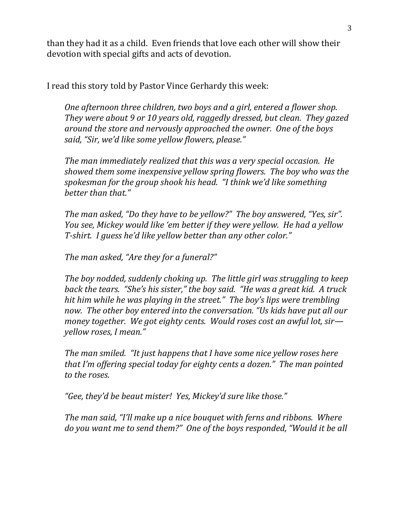than they had it as a child. Even friends that love each other will show their devotion with special gifts and acts of devotion.

I read this story told by Pastor Vince Gerhardy this week:

*One afternoon three children, two boys and a girl, entered a flower shop. They were about 9 or 10 years old, raggedly dressed, but clean. They gazed around the store and nervously approached the owner. One of the boys said, "Sir, we'd like some yellow flowers, please."*

*The man immediately realized that this was a very special occasion. He showed them some inexpensive yellow spring flowers. The boy who was the spokesman for the group shook his head. "I think we'd like something better than that."*

*The man asked, "Do they have to be yellow?" The boy answered, "Yes, sir". You see, Mickey would like 'em better if they were yellow. He had a yellow T-shirt. I guess he'd like yellow better than any other color."* 

*The man asked, "Are they for a funeral?"*

*The boy nodded, suddenly choking up. The little girl was struggling to keep back the tears. "She's his sister," the boy said. "He was a great kid. A truck hit him while he was playing in the street." The boy's lips were trembling now. The other boy entered into the conversation. "Us kids have put all our money together. We got eighty cents. Would roses cost an awful lot, sir yellow roses, I mean."* 

*The man smiled. "It just happens that I have some nice yellow roses here that I'm offering special today for eighty cents a dozen." The man pointed to the roses.* 

*"Gee, they'd be beaut mister! Yes, Mickey'd sure like those."*

*The man said, "I'll make up a nice bouquet with ferns and ribbons. Where do you want me to send them?" One of the boys responded, "Would it be all*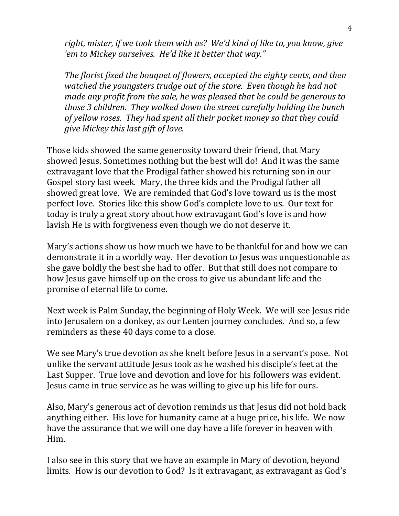*right, mister, if we took them with us? We'd kind of like to, you know, give 'em to Mickey ourselves. He'd like it better that way."*

*The florist fixed the bouquet of flowers, accepted the eighty cents, and then watched the youngsters trudge out of the store. Even though he had not made any profit from the sale, he was pleased that he could be generous to those 3 children. They walked down the street carefully holding the bunch of yellow roses. They had spent all their pocket money so that they could give Mickey this last gift of love.* 

Those kids showed the same generosity toward their friend, that Mary showed Jesus. Sometimes nothing but the best will do! And it was the same extravagant love that the Prodigal father showed his returning son in our Gospel story last week. Mary, the three kids and the Prodigal father all showed great love. We are reminded that God's love toward us is the most perfect love. Stories like this show God's complete love to us. Our text for today is truly a great story about how extravagant God's love is and how lavish He is with forgiveness even though we do not deserve it.

Mary's actions show us how much we have to be thankful for and how we can demonstrate it in a worldly way. Her devotion to Jesus was unquestionable as she gave boldly the best she had to offer. But that still does not compare to how Jesus gave himself up on the cross to give us abundant life and the promise of eternal life to come.

Next week is Palm Sunday, the beginning of Holy Week. We will see Jesus ride into Jerusalem on a donkey, as our Lenten journey concludes. And so, a few reminders as these 40 days come to a close.

We see Mary's true devotion as she knelt before Jesus in a servant's pose. Not unlike the servant attitude Jesus took as he washed his disciple's feet at the Last Supper. True love and devotion and love for his followers was evident. Jesus came in true service as he was willing to give up his life for ours.

Also, Mary's generous act of devotion reminds us that Jesus did not hold back anything either. His love for humanity came at a huge price, his life. We now have the assurance that we will one day have a life forever in heaven with Him.

I also see in this story that we have an example in Mary of devotion, beyond limits. How is our devotion to God? Is it extravagant, as extravagant as God's